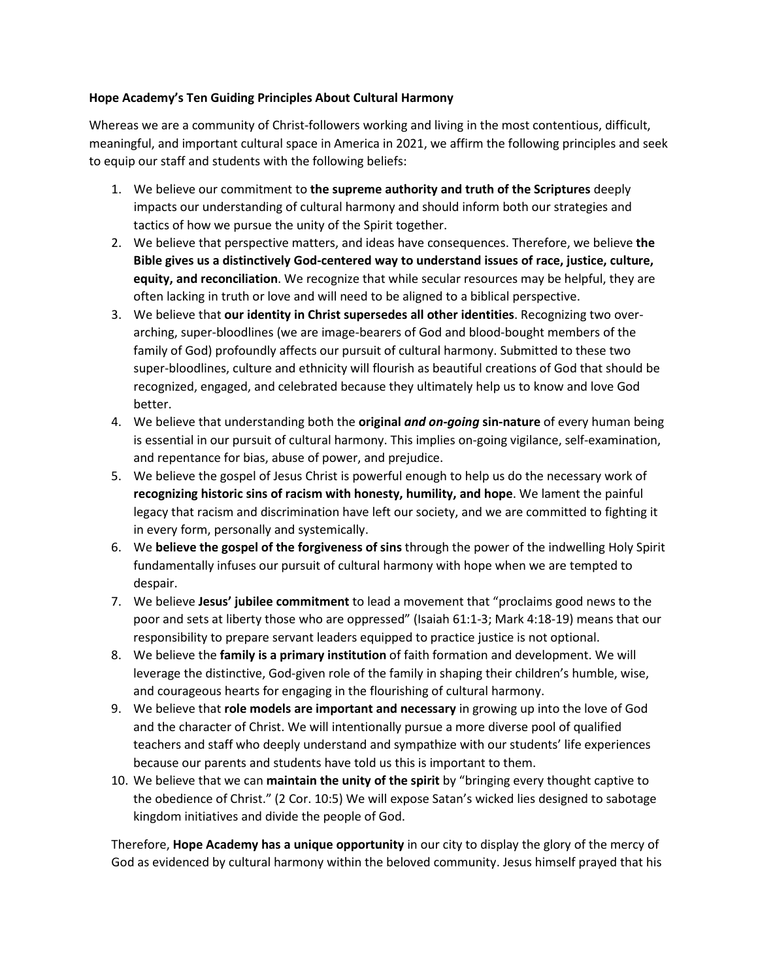## **Hope Academy's Ten Guiding Principles About Cultural Harmony**

Whereas we are a community of Christ-followers working and living in the most contentious, difficult, meaningful, and important cultural space in America in 2021, we affirm the following principles and seek to equip our staff and students with the following beliefs:

- 1. We believe our commitment to **the supreme authority and truth of the Scriptures** deeply impacts our understanding of cultural harmony and should inform both our strategies and tactics of how we pursue the unity of the Spirit together.
- 2. We believe that perspective matters, and ideas have consequences. Therefore, we believe **the Bible gives us a distinctively God-centered way to understand issues of race, justice, culture, equity, and reconciliation**. We recognize that while secular resources may be helpful, they are often lacking in truth or love and will need to be aligned to a biblical perspective.
- 3. We believe that **our identity in Christ supersedes all other identities**. Recognizing two overarching, super-bloodlines (we are image-bearers of God and blood-bought members of the family of God) profoundly affects our pursuit of cultural harmony. Submitted to these two super-bloodlines, culture and ethnicity will flourish as beautiful creations of God that should be recognized, engaged, and celebrated because they ultimately help us to know and love God better.
- 4. We believe that understanding both the **original** *and on-going* **sin-nature** of every human being is essential in our pursuit of cultural harmony. This implies on-going vigilance, self-examination, and repentance for bias, abuse of power, and prejudice.
- 5. We believe the gospel of Jesus Christ is powerful enough to help us do the necessary work of **recognizing historic sins of racism with honesty, humility, and hope**. We lament the painful legacy that racism and discrimination have left our society, and we are committed to fighting it in every form, personally and systemically.
- 6. We **believe the gospel of the forgiveness of sins** through the power of the indwelling Holy Spirit fundamentally infuses our pursuit of cultural harmony with hope when we are tempted to despair.
- 7. We believe **Jesus' jubilee commitment** to lead a movement that "proclaims good news to the poor and sets at liberty those who are oppressed" (Isaiah 61:1-3; Mark 4:18-19) means that our responsibility to prepare servant leaders equipped to practice justice is not optional.
- 8. We believe the **family is a primary institution** of faith formation and development. We will leverage the distinctive, God-given role of the family in shaping their children's humble, wise, and courageous hearts for engaging in the flourishing of cultural harmony.
- 9. We believe that **role models are important and necessary** in growing up into the love of God and the character of Christ. We will intentionally pursue a more diverse pool of qualified teachers and staff who deeply understand and sympathize with our students' life experiences because our parents and students have told us this is important to them.
- 10. We believe that we can **maintain the unity of the spirit** by "bringing every thought captive to the obedience of Christ." (2 Cor. 10:5) We will expose Satan's wicked lies designed to sabotage kingdom initiatives and divide the people of God.

Therefore, **Hope Academy has a unique opportunity** in our city to display the glory of the mercy of God as evidenced by cultural harmony within the beloved community. Jesus himself prayed that his